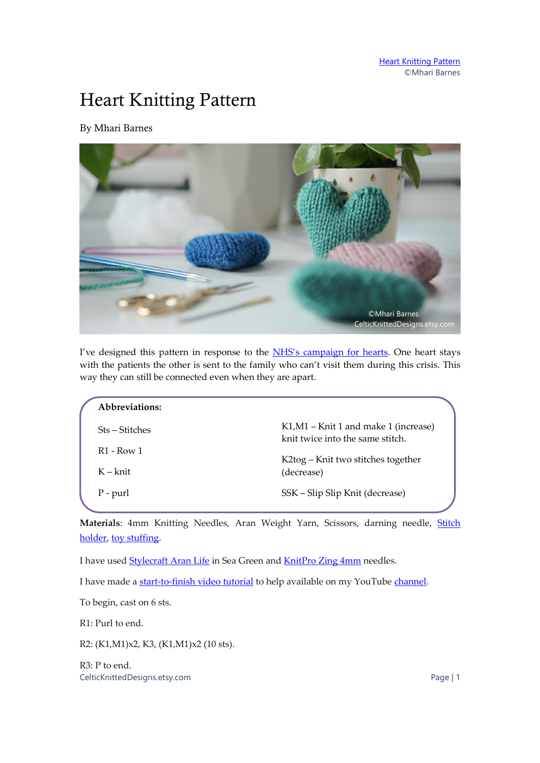## Heart Knitting Pattern

By Mhari Barnes



I've designed this pattern in response to the NHS'[s campaign for hearts.](https://www.bbc.co.uk/news/av/uk-england-wiltshire-52165537/laura-kirby-deacon-says-the-hearts-will-help-those-who-lose-loved-ones) One heart stays with the patients the other is sent to the family who can't visit them during this crisis. This way they can still be connected even when they are apart.

| Abbreviations:         |                                                                           |
|------------------------|---------------------------------------------------------------------------|
| Sts – Stitches         | K1, M1 – Knit 1 and make 1 (increase)<br>knit twice into the same stitch. |
| R <sub>1</sub> - Row 1 | K2tog – Knit two stitches together                                        |
| $K - k$ nit            | (decrease)                                                                |
| P - purl               | SSK – Slip Slip Knit (decrease)                                           |
|                        |                                                                           |

Materials: 4mm Knitting Needles, Aran Weight Yarn, Scissors, darning needle, *Stitch* [holder,](https://amzn.to/2xhH22K) [toy stuffing.](https://amzn.to/34vOhQF)

I have used **Stylecraft Aran Life** in Sea Green and **KnitPro Zing 4mm** needles.

I have made [a start-to-finish video tutorial](https://youtu.be/1Epvbs2aRdk) to help available on my YouTub[e channel.](https://www.youtube.com/channel/UCPtCDtnkD5ZvHOaIznnR5Nw)

To begin, cast on 6 sts.

R1: Purl to end.

R2: (K1,M1)x2, K3, (K1,M1)x2 (10 sts).

CelticKnittedDesigns.etsy.com Page | 1 R3: P to end.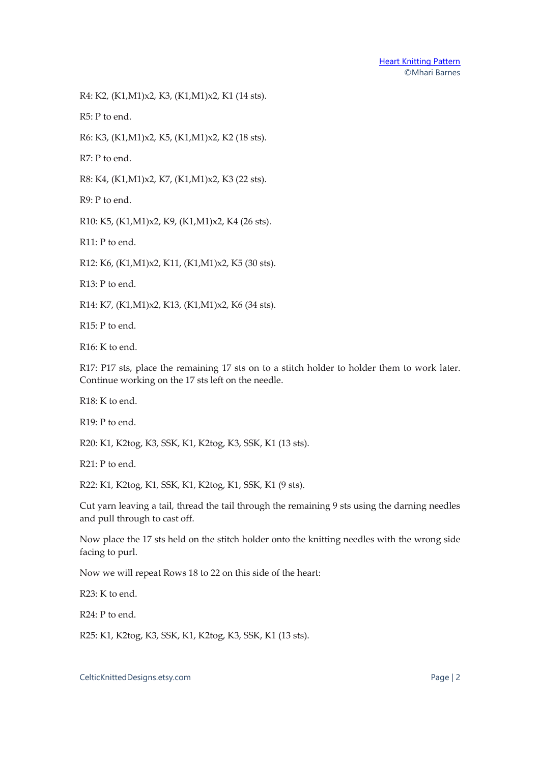R4: K2, (K1,M1)x2, K3, (K1,M1)x2, K1 (14 sts).

R5: P to end.

R6: K3, (K1,M1)x2, K5, (K1,M1)x2, K2 (18 sts).

R7: P to end.

R8: K4, (K1,M1)x2, K7, (K1,M1)x2, K3 (22 sts).

R9: P to end.

R10: K5, (K1,M1)x2, K9, (K1,M1)x2, K4 (26 sts).

R11: P to end.

R12: K6, (K1,M1)x2, K11, (K1,M1)x2, K5 (30 sts).

R13: P to end.

R14: K7, (K1,M1)x2, K13, (K1,M1)x2, K6 (34 sts).

R15: P to end.

R16: K to end.

R17: P17 sts, place the remaining 17 sts on to a stitch holder to holder them to work later. Continue working on the 17 sts left on the needle.

R18: K to end.

R19: P to end.

R20: K1, K2tog, K3, SSK, K1, K2tog, K3, SSK, K1 (13 sts).

R21: P to end.

R22: K1, K2tog, K1, SSK, K1, K2tog, K1, SSK, K1 (9 sts).

Cut yarn leaving a tail, thread the tail through the remaining 9 sts using the darning needles and pull through to cast off.

Now place the 17 sts held on the stitch holder onto the knitting needles with the wrong side facing to purl.

Now we will repeat Rows 18 to 22 on this side of the heart:

R23: K to end.

R24: P to end.

R25: K1, K2tog, K3, SSK, K1, K2tog, K3, SSK, K1 (13 sts).

CelticKnittedDesigns.etsy.com Page | 2